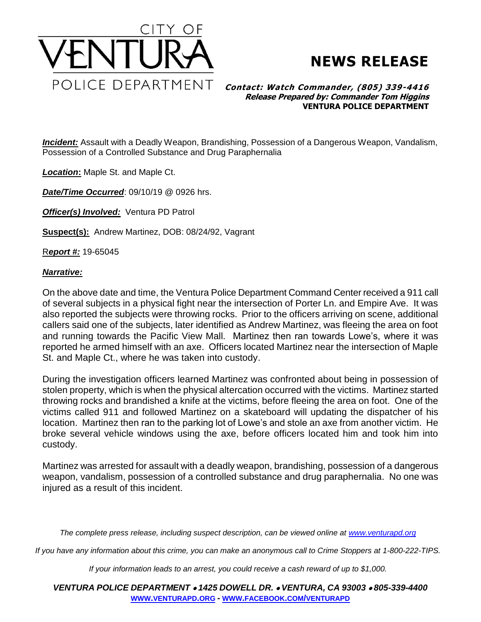



## **Contact: Watch Commander, (805) 339-4416 Release Prepared by: Commander Tom Higgins VENTURA POLICE DEPARTMENT**

*Incident:* Assault with a Deadly Weapon, Brandishing, Possession of a Dangerous Weapon, Vandalism, Possession of a Controlled Substance and Drug Paraphernalia

*Location***:** Maple St. and Maple Ct.

*Date/Time Occurred*: 09/10/19 @ 0926 hrs.

*Officer(s) Involved:* Ventura PD Patrol

**Suspect(s):** Andrew Martinez, DOB: 08/24/92, Vagrant

R*eport #:* 19-65045

## *Narrative:*

On the above date and time, the Ventura Police Department Command Center received a 911 call of several subjects in a physical fight near the intersection of Porter Ln. and Empire Ave. It was also reported the subjects were throwing rocks. Prior to the officers arriving on scene, additional callers said one of the subjects, later identified as Andrew Martinez, was fleeing the area on foot and running towards the Pacific View Mall. Martinez then ran towards Lowe's, where it was reported he armed himself with an axe. Officers located Martinez near the intersection of Maple St. and Maple Ct., where he was taken into custody.

During the investigation officers learned Martinez was confronted about being in possession of stolen property, which is when the physical altercation occurred with the victims. Martinez started throwing rocks and brandished a knife at the victims, before fleeing the area on foot. One of the victims called 911 and followed Martinez on a skateboard will updating the dispatcher of his location. Martinez then ran to the parking lot of Lowe's and stole an axe from another victim. He broke several vehicle windows using the axe, before officers located him and took him into custody.

Martinez was arrested for assault with a deadly weapon, brandishing, possession of a dangerous weapon, vandalism, possession of a controlled substance and drug paraphernalia. No one was injured as a result of this incident.

*The complete press release, including suspect description, can be viewed online at [www.venturapd.org](http://www.venturapd.org/)*

*If you have any information about this crime, you can make an anonymous call to Crime Stoppers at 1-800-222-TIPS.*

*If your information leads to an arrest, you could receive a cash reward of up to \$1,000.*

*VENTURA POLICE DEPARTMENT 1425 DOWELL DR. VENTURA, CA 93003 805-339-4400* **WWW.[VENTURAPD](http://www.venturapd.org/).ORG** *-* **WWW.FACEBOOK.COM/[VENTURAPD](http://www.facebook.com/venturapd)**